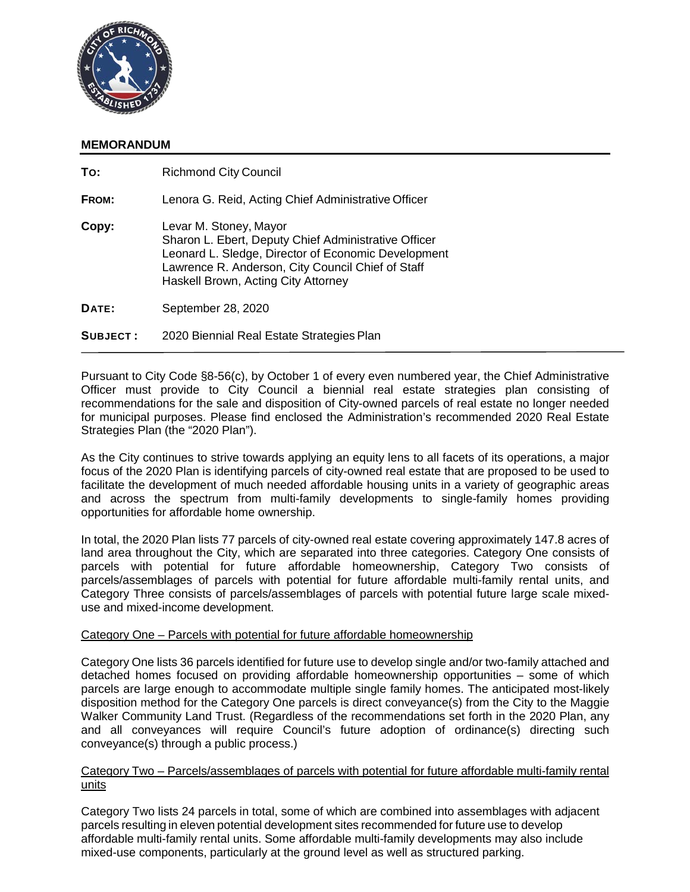

# **MEMORANDUM**

| To:             | <b>Richmond City Council</b>                                                                                                                                                                                                      |
|-----------------|-----------------------------------------------------------------------------------------------------------------------------------------------------------------------------------------------------------------------------------|
| FROM:           | Lenora G. Reid, Acting Chief Administrative Officer                                                                                                                                                                               |
| Copy:           | Levar M. Stoney, Mayor<br>Sharon L. Ebert, Deputy Chief Administrative Officer<br>Leonard L. Sledge, Director of Economic Development<br>Lawrence R. Anderson, City Council Chief of Staff<br>Haskell Brown, Acting City Attorney |
| DATE:           | September 28, 2020                                                                                                                                                                                                                |
| <b>SUBJECT:</b> | 2020 Biennial Real Estate Strategies Plan                                                                                                                                                                                         |

Pursuant to City Code §8-56(c), by October 1 of every even numbered year, the Chief Administrative Officer must provide to City Council a biennial real estate strategies plan consisting of recommendations for the sale and disposition of City-owned parcels of real estate no longer needed for municipal purposes. Please find enclosed the Administration's recommended 2020 Real Estate Strategies Plan (the "2020 Plan").

As the City continues to strive towards applying an equity lens to all facets of its operations, a major focus of the 2020 Plan is identifying parcels of city-owned real estate that are proposed to be used to facilitate the development of much needed affordable housing units in a variety of geographic areas and across the spectrum from multi-family developments to single-family homes providing opportunities for affordable home ownership.

In total, the 2020 Plan lists 77 parcels of city-owned real estate covering approximately 147.8 acres of land area throughout the City, which are separated into three categories. Category One consists of parcels with potential for future affordable homeownership, Category Two consists of parcels/assemblages of parcels with potential for future affordable multi-family rental units, and Category Three consists of parcels/assemblages of parcels with potential future large scale mixeduse and mixed-income development.

# Category One – Parcels with potential for future affordable homeownership

Category One lists 36 parcels identified for future use to develop single and/or two-family attached and detached homes focused on providing affordable homeownership opportunities – some of which parcels are large enough to accommodate multiple single family homes. The anticipated most-likely disposition method for the Category One parcels is direct conveyance(s) from the City to the Maggie Walker Community Land Trust. (Regardless of the recommendations set forth in the 2020 Plan, any and all conveyances will require Council's future adoption of ordinance(s) directing such conveyance(s) through a public process.)

# Category Two – Parcels/assemblages of parcels with potential for future affordable multi-family rental units

Category Two lists 24 parcels in total, some of which are combined into assemblages with adjacent parcels resulting in eleven potential development sites recommended for future use to develop affordable multi-family rental units. Some affordable multi-family developments may also include mixed-use components, particularly at the ground level as well as structured parking.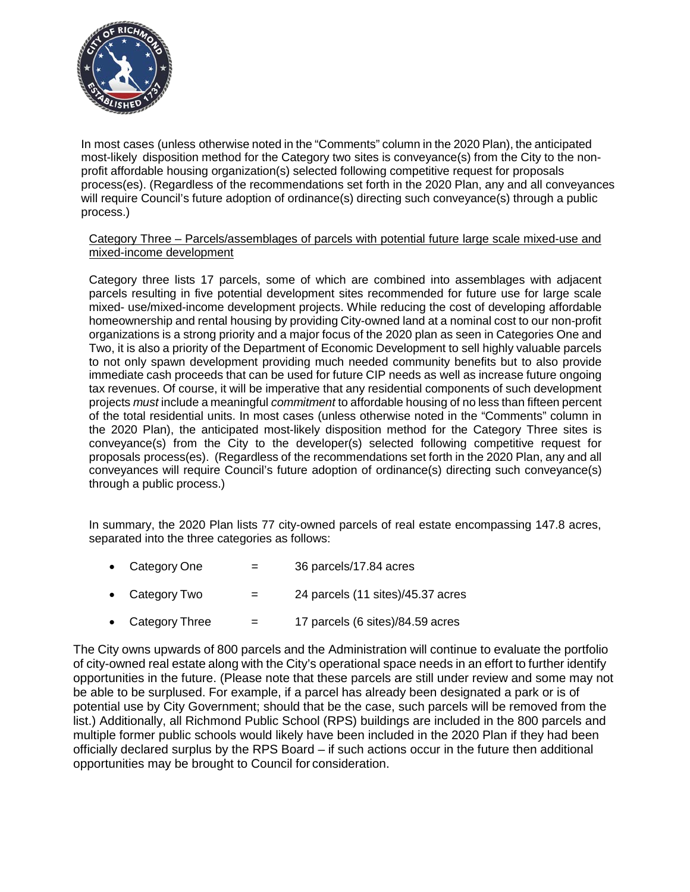

In most cases (unless otherwise noted in the "Comments" column in the 2020 Plan), the anticipated most-likely disposition method for the Category two sites is conveyance(s) from the City to the nonprofit affordable housing organization(s) selected following competitive request for proposals process(es). (Regardless of the recommendations set forth in the 2020 Plan, any and all conveyances will require Council's future adoption of ordinance(s) directing such conveyance(s) through a public process.)

Category Three – Parcels/assemblages of parcels with potential future large scale mixed-use and mixed-income development

Category three lists 17 parcels, some of which are combined into assemblages with adjacent parcels resulting in five potential development sites recommended for future use for large scale mixed- use/mixed-income development projects. While reducing the cost of developing affordable homeownership and rental housing by providing City-owned land at a nominal cost to our non-profit organizations is a strong priority and a major focus of the 2020 plan as seen in Categories One and Two, it is also a priority of the Department of Economic Development to sell highly valuable parcels to not only spawn development providing much needed community benefits but to also provide immediate cash proceeds that can be used for future CIP needs as well as increase future ongoing tax revenues. Of course, it will be imperative that any residential components of such development projects *must* include a meaningful *commitment* to affordable housing of no less than fifteen percent of the total residential units. In most cases (unless otherwise noted in the "Comments" column in the 2020 Plan), the anticipated most-likely disposition method for the Category Three sites is conveyance(s) from the City to the developer(s) selected following competitive request for proposals process(es). (Regardless of the recommendations set forth in the 2020 Plan, any and all conveyances will require Council's future adoption of ordinance(s) directing such conveyance(s) through a public process.)

In summary, the 2020 Plan lists 77 city-owned parcels of real estate encompassing 147.8 acres, separated into the three categories as follows:

- Category One  $=$  36 parcels/17.84 acres
- Category Two  $=$  24 parcels (11 sites)/45.37 acres
- Category Three  $=$  17 parcels (6 sites)/84.59 acres

The City owns upwards of 800 parcels and the Administration will continue to evaluate the portfolio of city-owned real estate along with the City's operational space needs in an effort to further identify opportunities in the future. (Please note that these parcels are still under review and some may not be able to be surplused. For example, if a parcel has already been designated a park or is of potential use by City Government; should that be the case, such parcels will be removed from the list.) Additionally, all Richmond Public School (RPS) buildings are included in the 800 parcels and multiple former public schools would likely have been included in the 2020 Plan if they had been officially declared surplus by the RPS Board – if such actions occur in the future then additional opportunities may be brought to Council for consideration.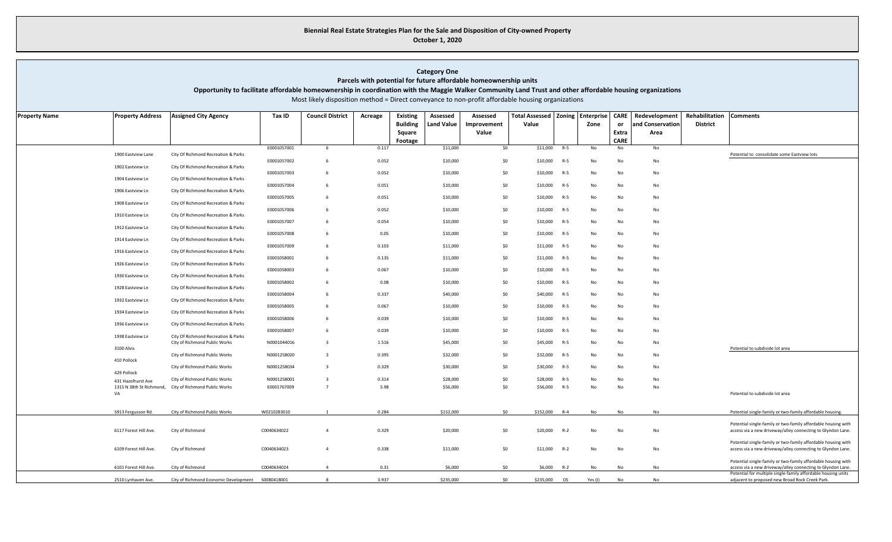### **Biennial Real Estate Strategies Plan for the Sale and Disposition of City-owned Property October 1, 2020**

### **Category One**

**Parcels with potential for future affordable homeownership units**

**Opportunity to facilitate affordable homeownership in coordination with the Maggie Walker Community Land Trust and other affordable housing organizations** 

Most likely disposition method = Direct conveyance to non-profit affordable housing organizations

| <b>Property Name</b> | <b>Property Address</b> | <b>Assigned City Agency</b>                                          | Tax ID      | <b>Council District</b> | Acreage | <b>Existing</b> | Assessed   | Assessed    | Total Assessed   Zoning   Enterprise |           |         | <b>CARE</b> | Redevelopment    | Rehabilitation  | <b>Comments</b>                                                                                                              |
|----------------------|-------------------------|----------------------------------------------------------------------|-------------|-------------------------|---------|-----------------|------------|-------------|--------------------------------------|-----------|---------|-------------|------------------|-----------------|------------------------------------------------------------------------------------------------------------------------------|
|                      |                         |                                                                      |             |                         |         | <b>Building</b> | Land Value | Improvement | Value                                |           | Zone    | or          | and Conservation | <b>District</b> |                                                                                                                              |
|                      |                         |                                                                      |             |                         |         | Square          |            | Value       |                                      |           |         | Extra       | Area             |                 |                                                                                                                              |
|                      |                         |                                                                      |             |                         |         | Footage         |            |             |                                      |           |         | <b>CARE</b> |                  |                 |                                                                                                                              |
|                      |                         |                                                                      | E0001057001 | -6                      | 0.117   |                 | \$11,000   | \$0         | \$11,000                             | $R-5$     | No      | No          | No               |                 |                                                                                                                              |
|                      | 1900 Eastview Lane      | City Of Richmond Recreation & Parks                                  |             |                         |         |                 |            |             |                                      |           |         |             |                  |                 | Potential to consolidate some Eastview lots                                                                                  |
|                      | 1902 Eastview Ln        | City Of Richmond Recreation & Parks                                  | E0001057002 | 6                       | 0.052   |                 | \$10,000   | \$0         | \$10,000                             | R-5       | No      | No          | No               |                 |                                                                                                                              |
|                      |                         |                                                                      | E0001057003 | 6                       | 0.052   |                 | \$10,000   | \$0         | \$10,000                             | $R-5$     | No      | No          | No               |                 |                                                                                                                              |
|                      | 1904 Eastview Ln        | City Of Richmond Recreation & Parks                                  | E0001057004 | 6                       | 0.051   |                 | \$10,000   | \$0         | \$10,000                             | $R-5$     | No      | No          | No               |                 |                                                                                                                              |
|                      | 1906 Eastview Ln        | City Of Richmond Recreation & Parks                                  |             |                         |         |                 |            |             |                                      |           |         |             |                  |                 |                                                                                                                              |
|                      | 1908 Eastview Ln        | City Of Richmond Recreation & Parks                                  | E0001057005 | -6                      | 0.051   |                 | \$10,000   | \$0         | \$10,000                             | $R-5$     | No      | No          | No               |                 |                                                                                                                              |
|                      |                         |                                                                      | E0001057006 | -6                      | 0.052   |                 | \$10,000   | \$0         | \$10,000                             | $R-5$     | No      | No          | No               |                 |                                                                                                                              |
|                      | 1910 Eastview Ln        | City Of Richmond Recreation & Parks                                  |             | -6                      |         |                 |            |             |                                      |           |         |             |                  |                 |                                                                                                                              |
|                      | 1912 Eastview Ln        | City Of Richmond Recreation & Parks                                  | E0001057007 |                         | 0.054   |                 | \$10,000   | \$0         | \$10,000                             | R-5       | No      | No          | No               |                 |                                                                                                                              |
|                      |                         |                                                                      | E0001057008 | 6                       | 0.05    |                 | \$10,000   | \$0         | \$10,000                             | R-5       | No      | No          | No               |                 |                                                                                                                              |
|                      | 1914 Eastview Ln        | City Of Richmond Recreation & Parks                                  | E0001057009 | 6                       | 0.103   |                 | \$11,000   | \$0         | \$11,000                             | $R-5$     | No      | No          | No               |                 |                                                                                                                              |
|                      | 1916 Eastview Ln        | City Of Richmond Recreation & Parks                                  |             |                         |         |                 |            |             |                                      |           |         |             |                  |                 |                                                                                                                              |
|                      | 1926 Eastview Ln        | City Of Richmond Recreation & Parks                                  | E0001058001 | 6                       | 0.135   |                 | \$11,000   | \$0         | \$11,000                             | $R-5$     | No      | No          | No               |                 |                                                                                                                              |
|                      |                         |                                                                      | E0001058003 | - 6                     | 0.067   |                 | \$10,000   | \$0         | \$10,000                             | $R-5$     | No      | No          | No               |                 |                                                                                                                              |
|                      | 1930 Eastview Ln        | City Of Richmond Recreation & Parks                                  | E0001058002 | 6                       | 0.08    |                 | \$10,000   | \$0         | \$10,000                             | $R-5$     | No      | No          | No               |                 |                                                                                                                              |
|                      | 1928 Eastview Ln        | City Of Richmond Recreation & Parks                                  |             |                         |         |                 |            |             |                                      |           |         |             |                  |                 |                                                                                                                              |
|                      | 1932 Eastview Ln        | City Of Richmond Recreation & Parks                                  | E0001058004 | -6                      | 0.337   |                 | \$40,000   | \$0         | \$40,000                             | R-5       | No      | No          | No               |                 |                                                                                                                              |
|                      |                         |                                                                      | E0001058005 | -6                      | 0.067   |                 | \$10,000   | \$0         | \$10,000                             | R-5       | No      | No          | No               |                 |                                                                                                                              |
|                      | 1934 Eastview Ln        | City Of Richmond Recreation & Parks                                  |             |                         |         |                 |            |             |                                      |           |         |             |                  |                 |                                                                                                                              |
|                      | 1936 Eastview Ln        | City Of Richmond Recreation & Parks                                  | E0001058006 | 6                       | 0.039   |                 | \$10,000   | \$0         | \$10,000                             | $R-5$     | No      | No          | No               |                 |                                                                                                                              |
|                      |                         |                                                                      | E0001058007 | 6                       | 0.039   |                 | \$10,000   | \$0         | \$10,000                             | $R-5$     | No      | No          | No               |                 |                                                                                                                              |
|                      | 1938 Eastview Ln        | City Of Richmond Recreation & Parks<br>City of Richmond Public Works | N0001044016 | $\overline{\mathbf{3}}$ | 1.516   |                 | \$45,000   | \$0         | \$45,000                             | $R-5$     | No      | No          | No               |                 |                                                                                                                              |
|                      | 3100 Alvis              |                                                                      |             |                         |         |                 |            |             |                                      |           |         |             |                  |                 | Potential to subdivide lot area                                                                                              |
|                      | 410 Pollock             | City of Richmond Public Works                                        | N0001258020 | $\overline{\mathbf{3}}$ | 0.395   |                 | \$32,000   | \$0         | \$32,000                             | $R-5$     | No      | No          | No               |                 |                                                                                                                              |
|                      |                         | City of Richmond Public Works                                        | N0001258034 | $\overline{3}$          | 0.329   |                 | \$30,000   | \$0         | \$30,000                             | R-5       | No      | No          | No               |                 |                                                                                                                              |
|                      | 429 Pollock             | City of Richmond Public Works                                        | N0001258001 | $\overline{\mathbf{3}}$ | 0.314   |                 | \$28,000   | \$0         | \$28,000                             | R-5       | No      | No          | No               |                 |                                                                                                                              |
|                      | 431 Hazelhurst Ave      | 1315 N 38th St Richmond, City of Richmond Public Works               | E0001767009 | $\overline{7}$          | 5.98    |                 | \$56,000   | \$0         | \$56,000                             | $R-5$     | No      | No          | No               |                 |                                                                                                                              |
|                      | VA                      |                                                                      |             |                         |         |                 |            |             |                                      |           |         |             |                  |                 | Potential to subdivide lot area                                                                                              |
|                      |                         |                                                                      |             |                         |         |                 |            |             |                                      |           |         |             |                  |                 |                                                                                                                              |
|                      | 5913 Fergusson Rd.      | City of Richmond Public Works                                        | W0210283010 |                         | 0.284   |                 | \$152,000  | \$0         | \$152,000                            | $R - 4$   | No      | No          | No               |                 | Potential single-family or two-family affordable housing.                                                                    |
|                      |                         |                                                                      |             |                         |         |                 |            |             |                                      |           |         |             |                  |                 | Potential single-family or two-family affordable housing with                                                                |
|                      | 6117 Forest Hill Ave.   | City of Richmond                                                     | C0040634022 | $\overline{4}$          | 0.329   |                 | \$20,000   | \$0         | \$20,000                             | $R-2$     | No      | No          | No               |                 | access via a new driveway/alley connecting to Glyndon Lane.                                                                  |
|                      |                         |                                                                      |             |                         |         |                 |            |             |                                      |           |         |             |                  |                 |                                                                                                                              |
|                      | 6109 Forest Hill Ave.   | City of Richmond                                                     | C0040634023 | $\overline{4}$          | 0.338   |                 | \$11,000   | \$0         | \$11,000                             | $R-2$     | No      | No          | No               |                 | Potential single-family or two-family affordable housing with<br>access via a new driveway/alley connecting to Glyndon Lane. |
|                      |                         |                                                                      |             |                         |         |                 |            |             |                                      |           |         |             |                  |                 |                                                                                                                              |
|                      | 6101 Forest Hill Ave.   | City of Richmond                                                     | C0040634024 |                         | 0.31    |                 | \$6,000    | \$0         | \$6,000                              | $R-2$     | No      | No          | No               |                 | Potential single-family or two-family affordable housing with<br>access via a new driveway/alley connecting to Glyndon Lane. |
|                      |                         |                                                                      |             |                         |         |                 |            |             |                                      |           |         |             |                  |                 | Potential for multiple single-family affordable housing units                                                                |
|                      | 2510 Lynhaven Ave.      | City of Richmond Economic Development  S0080418001                   |             | $\mathbf{R}$            | 3.937   |                 | \$235,000  | \$0         | \$235,000                            | <b>OS</b> | Yes (I) | No          | No               |                 | adjacent to proposed new Broad Rock Creek Park.                                                                              |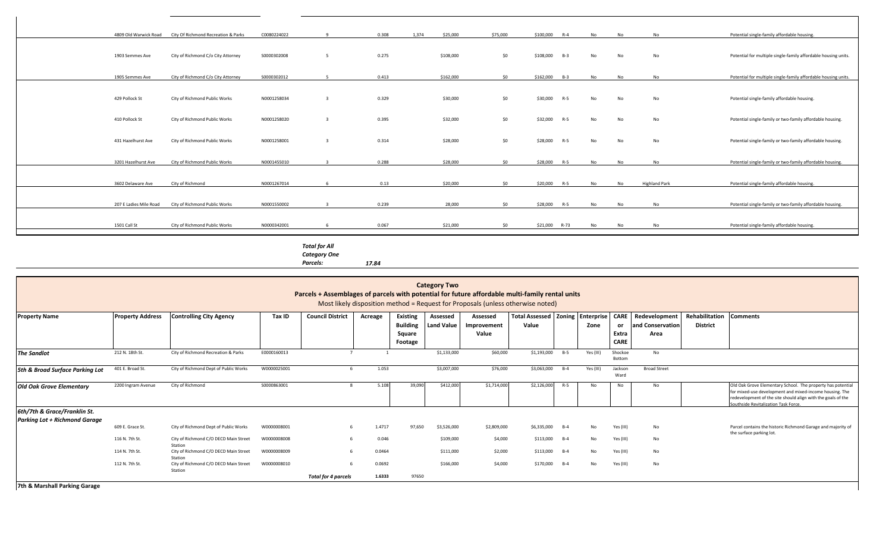|                        | 4809 Old Warwick Road City Of Richmond Recreation & Parks | C0080224022 |   | 0.308 | 1,374<br>\$25,000 | \$75,000        | \$100,000 R-4     | <b>No</b>      | N <sub>0</sub> | N <sub>0</sub>       | Potential single-family affordable housing.                    |
|------------------------|-----------------------------------------------------------|-------------|---|-------|-------------------|-----------------|-------------------|----------------|----------------|----------------------|----------------------------------------------------------------|
|                        |                                                           |             |   |       |                   |                 |                   |                |                |                      |                                                                |
| 1903 Semmes Ave        | City of Richmond C/o City Attorney                        | S0000302008 | 5 | 0.275 | \$108,000         | \$0             | \$108,000 B-3     | No             | No             | No                   | Potential for multiple single-family affordable housing units. |
| 1905 Semmes Ave        | City of Richmond C/o City Attorney                        | S0000302012 |   | 0.413 | \$162,000         | ćn              | \$162,000 B-3     | N <sub>0</sub> | <b>No</b>      | N <sub>0</sub>       | Potential for multiple single-family affordable housing units. |
|                        |                                                           |             |   |       |                   |                 |                   |                |                |                      |                                                                |
| 429 Pollock St         | City of Richmond Public Works                             | N0001258034 |   | 0.329 | \$30,000          | \$0             | \$30,000<br>$R-5$ | No             | No             | No                   | Potential single-family affordable housing.                    |
| 410 Pollock St         | City of Richmond Public Works                             | N0001258020 |   | 0.395 | \$32,000          | \$0             | \$32,000<br>$R-5$ | No             | No             | No                   | Potential single-family or two-family affordable housing.      |
| 431 Hazelhurst Ave     | City of Richmond Public Works                             | N0001258001 |   | 0.314 | \$28,000          | \$0             | \$28,000<br>$R-5$ | No             | <b>No</b>      | No                   | Potential single-family or two-family affordable housing.      |
| 3201 Hazelhurst Ave    | City of Richmond Public Works                             | N0001455010 |   | 0.288 | \$28,000          | SO <sub>2</sub> | \$28,000 R-5      | <b>No</b>      | No             | No                   | Potential single-family or two-family affordable housing.      |
|                        |                                                           |             |   |       |                   |                 |                   |                |                |                      |                                                                |
| 3602 Delaware Ave      | City of Richmond                                          | N0001267014 |   | 0.13  | \$20,000          | 50              | \$20,000 R-5      | <b>No</b>      | No             | <b>Highland Park</b> | Potential single-family affordable housing.                    |
|                        |                                                           |             |   |       |                   |                 |                   |                |                |                      |                                                                |
| 207 E Ladies Mile Road | City of Richmond Public Works                             | N0001550002 |   | 0.239 | 28,000            | 50              | \$28,000<br>$R-5$ | <b>No</b>      | No             | No                   | Potential single-family or two-family affordable housing.      |
|                        |                                                           |             |   |       |                   |                 |                   |                |                |                      |                                                                |
| 1501 Call St           | City of Richmond Public Works                             | N0000342001 |   | 0.067 | \$21,000          | 50 <sub>2</sub> | \$21,000 R-73     | No             | No             | No                   | Potential single-family affordable housing.                    |
|                        |                                                           |             |   |       |                   |                 |                   |                |                |                      |                                                                |

*Total for All Category One* 

*Parcels: 17.84*

| <b>Category Two</b><br>Parcels + Assemblages of parcels with potential for future affordable multi-family rental units<br>Most likely disposition method = Request for Proposals (unless otherwise noted) |                         |                                                  |              |                            |         |                                                         |                               |                                  |                                                 |       |           |                                           |                                           |                                            |                                                                                                                                                                                                                                |
|-----------------------------------------------------------------------------------------------------------------------------------------------------------------------------------------------------------|-------------------------|--------------------------------------------------|--------------|----------------------------|---------|---------------------------------------------------------|-------------------------------|----------------------------------|-------------------------------------------------|-------|-----------|-------------------------------------------|-------------------------------------------|--------------------------------------------|--------------------------------------------------------------------------------------------------------------------------------------------------------------------------------------------------------------------------------|
| <b>Property Name</b>                                                                                                                                                                                      | <b>Property Address</b> | <b>Controlling City Agency</b>                   | Tax ID       | <b>Council District</b>    | Acreage | <b>Existing</b><br><b>Building</b><br>Square<br>Footage | Assessed<br><b>Land Value</b> | Assessed<br>Improvement<br>Value | Total Assessed   Zoning   Enterprise  <br>Value |       | Zone      | <b>CARE</b><br>or<br>Extra<br><b>CARE</b> | Redevelopment<br>and Conservation<br>Area | Rehabilitation Comments<br><b>District</b> |                                                                                                                                                                                                                                |
| <b>The Sandlot</b>                                                                                                                                                                                        | 212 N. 18th St.         | City of Richmond Recreation & Parks              | E0000160013  |                            |         |                                                         | \$1,133,000                   | \$60,000                         | \$1,193,000 B-5                                 |       | Yes (III) | Shockoe<br>Bottom                         | <b>No</b>                                 |                                            |                                                                                                                                                                                                                                |
| 5th & Broad Surface Parking Lot                                                                                                                                                                           | 401 E. Broad St.        | City of Richmond Dept of Public Works            | W0000025001  |                            | 1.053   |                                                         | \$3,007,000                   | \$76,000                         | \$3,063,000                                     | $B-4$ | Yes (III) | Jackson<br>Ward                           | <b>Broad Street</b>                       |                                            |                                                                                                                                                                                                                                |
| <b>Old Oak Grove Elementary</b>                                                                                                                                                                           | 2200 Ingram Avenue      | City of Richmond                                 | \$0000863001 |                            | 5.108   | 39,090                                                  | \$412,000                     | \$1,714,000                      | \$2,126,000                                     | $R-5$ | No        | No                                        | No                                        |                                            | Old Oak Grove Elementary School. The property has potential<br>for mixed-use development and mixed-income housing. The<br>redevelopment of the site should align with the goals of the<br>Southside Revitalization Task Force. |
| 6th/7th & Grace/Franklin St.                                                                                                                                                                              |                         |                                                  |              |                            |         |                                                         |                               |                                  |                                                 |       |           |                                           |                                           |                                            |                                                                                                                                                                                                                                |
| <b>Parking Lot + Richmond Garage</b>                                                                                                                                                                      | 609 E. Grace St.        | City of Richmond Dept of Public Works            | W0000008001  |                            | 1.4717  | 97,650                                                  | \$3,526,000                   | \$2,809,000                      | \$6,335,000                                     | $B-4$ | No        | Yes (III)                                 | No.                                       |                                            | Parcel contains the historic Richmond Garage and majority of<br>the surface parking lot.                                                                                                                                       |
|                                                                                                                                                                                                           | 116 N. 7th St.          | City of Richmond C/O DECD Main Street<br>Station | W0000008008  |                            | 0.046   |                                                         | \$109,000                     | \$4,000                          | \$113,000                                       | $B-4$ | No        | Yes (III)                                 | No.                                       |                                            |                                                                                                                                                                                                                                |
|                                                                                                                                                                                                           | 114 N. 7th St.          | City of Richmond C/O DECD Main Street<br>Station | W0000008009  |                            | 0.0464  |                                                         | \$111,000                     | \$2,000                          | \$113,000 B-4                                   |       | No        | Yes (III)                                 | No                                        |                                            |                                                                                                                                                                                                                                |
|                                                                                                                                                                                                           | 112 N. 7th St.          | City of Richmond C/O DECD Main Street<br>Station | W0000008010  |                            | 0.0692  |                                                         | \$166,000                     | \$4,000                          | \$170,000                                       | $B-4$ | No        | Yes (III)                                 | No                                        |                                            |                                                                                                                                                                                                                                |
| 7th <b>0 Moveboll Dovicing Covers</b>                                                                                                                                                                     |                         |                                                  |              | <b>Total for 4 parcels</b> | 1.6333  | 97650                                                   |                               |                                  |                                                 |       |           |                                           |                                           |                                            |                                                                                                                                                                                                                                |

**7th & Marshall Parking Garage**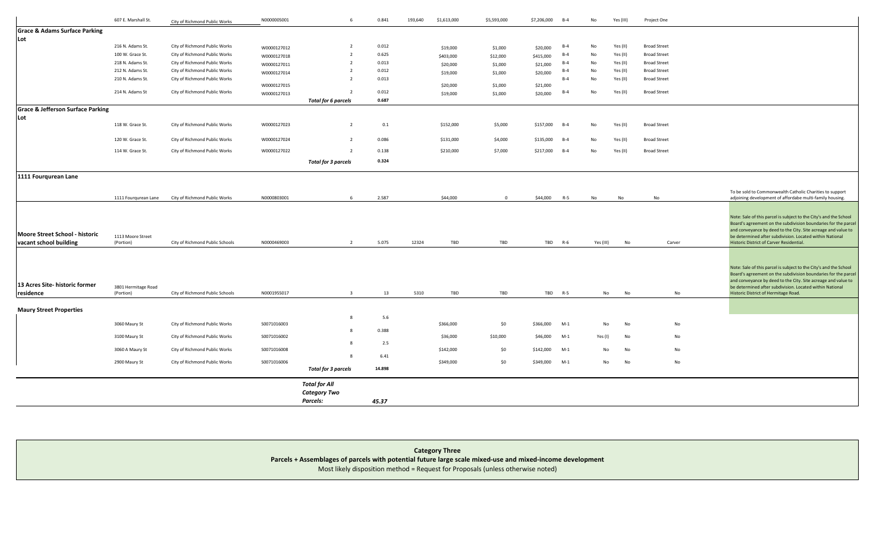|                                                          | 607 E. Marshall St.              | City of Richmond Public Works   | N0000005001 | -6                         | 0.841  | 193,640 | \$1,613,000 | \$5,593,000 | \$7,206,000 | $B-4$   | No            | Yes (III)     | Project One         |                                                                                                                                                                                                                                                                                                              |
|----------------------------------------------------------|----------------------------------|---------------------------------|-------------|----------------------------|--------|---------|-------------|-------------|-------------|---------|---------------|---------------|---------------------|--------------------------------------------------------------------------------------------------------------------------------------------------------------------------------------------------------------------------------------------------------------------------------------------------------------|
| <b>Grace &amp; Adams Surface Parking</b>                 |                                  |                                 |             |                            |        |         |             |             |             |         |               |               |                     |                                                                                                                                                                                                                                                                                                              |
| Lot                                                      |                                  |                                 |             |                            |        |         |             |             |             |         |               |               |                     |                                                                                                                                                                                                                                                                                                              |
|                                                          | 216 N. Adams St.                 | City of Richmond Public Works   | W0000127012 |                            | 0.012  |         | \$19,000    | \$1,000     | \$20,000    | $B-4$   | No            | Yes (II)      | <b>Broad Street</b> |                                                                                                                                                                                                                                                                                                              |
|                                                          | 100 W. Grace St.                 | City of Richmond Public Works   | W0000127018 | $\overline{2}$             | 0.625  |         | \$403,000   | \$12,000    | \$415,000   | $B-4$   | No            | Yes (II)      | <b>Broad Street</b> |                                                                                                                                                                                                                                                                                                              |
|                                                          | 218 N. Adams St.                 | City of Richmond Public Works   | W0000127011 |                            | 0.013  |         | \$20,000    | \$1,000     | \$21,000    | $B-4$   | No            | Yes (II)      | <b>Broad Street</b> |                                                                                                                                                                                                                                                                                                              |
|                                                          | 212 N. Adams St.                 | City of Richmond Public Works   | W0000127014 | $\overline{2}$             | 0.012  |         | \$19,000    | \$1,000     | \$20,000    | $B-4$   | No            | Yes (II)      | <b>Broad Street</b> |                                                                                                                                                                                                                                                                                                              |
|                                                          | 210 N. Adams St.                 | City of Richmond Public Works   | W0000127015 | - 2                        | 0.013  |         | \$20,000    | \$1,000     | \$21,000    | $B-4$   | No            | Yes (II)      | <b>Broad Street</b> |                                                                                                                                                                                                                                                                                                              |
|                                                          | 214 N. Adams St                  | City of Richmond Public Works   | W0000127013 | $\overline{2}$             | 0.012  |         | \$19,000    | \$1,000     | \$20,000    | $B-4$   | No            | Yes (II)      | <b>Broad Street</b> |                                                                                                                                                                                                                                                                                                              |
|                                                          |                                  |                                 |             | <b>Total for 6 parcels</b> | 0.687  |         |             |             |             |         |               |               |                     |                                                                                                                                                                                                                                                                                                              |
| <b>Grace &amp; Jefferson Surface Parking</b>             |                                  |                                 |             |                            |        |         |             |             |             |         |               |               |                     |                                                                                                                                                                                                                                                                                                              |
| Lot                                                      |                                  |                                 |             |                            |        |         |             |             |             |         |               |               |                     |                                                                                                                                                                                                                                                                                                              |
|                                                          | 118 W. Grace St.                 | City of Richmond Public Works   | W0000127023 | $\overline{2}$             | 0.1    |         | \$152,000   | \$5,000     | \$157,000   | $B-4$   | No            | Yes (II)      | <b>Broad Street</b> |                                                                                                                                                                                                                                                                                                              |
|                                                          |                                  |                                 |             |                            |        |         |             |             |             |         |               |               |                     |                                                                                                                                                                                                                                                                                                              |
|                                                          | 120 W. Grace St.                 | City of Richmond Public Works   | W0000127024 | $\overline{2}$             | 0.086  |         | \$131,000   | \$4,000     | \$135,000   | $B-4$   | No            | Yes (II)      | <b>Broad Street</b> |                                                                                                                                                                                                                                                                                                              |
|                                                          | 114 W. Grace St.                 | City of Richmond Public Works   | W0000127022 | $\overline{2}$             | 0.138  |         | \$210,000   | \$7,000     | \$217,000   | $B-4$   | $\mathsf{No}$ | Yes (II)      | <b>Broad Street</b> |                                                                                                                                                                                                                                                                                                              |
|                                                          |                                  |                                 |             | <b>Total for 3 parcels</b> | 0.324  |         |             |             |             |         |               |               |                     |                                                                                                                                                                                                                                                                                                              |
| 1111 Fourqurean Lane                                     |                                  |                                 |             |                            |        |         |             |             |             |         |               |               |                     |                                                                                                                                                                                                                                                                                                              |
|                                                          |                                  |                                 |             |                            |        |         |             |             |             |         |               |               |                     |                                                                                                                                                                                                                                                                                                              |
|                                                          |                                  | City of Richmond Public Works   | N0000803001 |                            | 2.587  |         | \$44,000    | $\Omega$    | \$44,000    |         |               |               |                     | To be sold to Commonwealth Catholic Charities to support                                                                                                                                                                                                                                                     |
|                                                          | 1111 Fourgurean Lane             |                                 |             |                            |        |         |             |             |             | $R-5$   | No            | No            | No                  | adjoining development of affordabe multi-family housing.                                                                                                                                                                                                                                                     |
| Moore Street School - historic<br>vacant school building | 1113 Moore Street<br>(Portion)   | City of Richmond Public Schools | N0000469003 | $\overline{2}$             | 5.075  | 12324   | TBD         | TBD         | TBD         | $R-6$   | Yes (III)     | $\mathsf{No}$ | Carver              | Note: Sale of this parcel is subject to the City's and the School<br>Board's agreement on the subdivision boundaries for the parcel<br>and conveyance by deed to the City. Site acreage and value to<br>be determined after subdivision. Located within National<br>Historic District of Carver Residential. |
|                                                          |                                  |                                 |             |                            |        |         |             |             |             |         |               |               |                     | Note: Sale of this parcel is subject to the City's and the School<br>Board's agreement on the subdivision boundaries for the parcel                                                                                                                                                                          |
| 13 Acres Site- historic former                           |                                  |                                 |             |                            |        |         |             |             |             |         |               |               |                     | and conveyance by deed to the City. Site acreage and value to                                                                                                                                                                                                                                                |
| residence                                                | 3801 Hermitage Road<br>(Portion) | City of Richmond Public Schools | N0001955017 |                            | 13     | 5310    | TBD         | TBD         |             | TBD R-5 | No            | No            | No                  | be determined after subdivision. Located within National<br>Historic District of Hermitage Road.                                                                                                                                                                                                             |
|                                                          |                                  |                                 |             |                            |        |         |             |             |             |         |               |               |                     |                                                                                                                                                                                                                                                                                                              |
| <b>Maury Street Properties</b>                           |                                  |                                 |             |                            |        |         |             |             |             |         |               |               |                     |                                                                                                                                                                                                                                                                                                              |
|                                                          | 3060 Maury St                    | City of Richmond Public Works   | S0071016003 |                            | 5.6    |         | \$366,000   | \$0         | \$366,000   | $M-1$   | No            | No            | No                  |                                                                                                                                                                                                                                                                                                              |
|                                                          |                                  |                                 |             |                            | 0.388  |         |             |             |             |         |               |               |                     |                                                                                                                                                                                                                                                                                                              |
|                                                          | 3100 Maury St                    | City of Richmond Public Works   | S0071016002 |                            |        |         | \$36,000    | \$10,000    | \$46,000    | $M-1$   | Yes (I)       | No            | No                  |                                                                                                                                                                                                                                                                                                              |
|                                                          | 3060 A Maury St                  | City of Richmond Public Works   | S0071016008 |                            | 2.5    |         | \$142,000   | \$0         | \$142,000   | $M-1$   | No            | $\mathsf{No}$ | No                  |                                                                                                                                                                                                                                                                                                              |
|                                                          |                                  |                                 |             |                            | 6.41   |         |             |             |             |         |               |               |                     |                                                                                                                                                                                                                                                                                                              |
|                                                          | 2900 Maury St                    | City of Richmond Public Works   | S0071016006 |                            |        |         | \$349,000   | \$0         | \$349,000   | $M-1$   | No            | No            | No                  |                                                                                                                                                                                                                                                                                                              |
|                                                          |                                  |                                 |             | Total for 3 parcels        | 14.898 |         |             |             |             |         |               |               |                     |                                                                                                                                                                                                                                                                                                              |
|                                                          |                                  |                                 |             | <b>Total for All</b>       |        |         |             |             |             |         |               |               |                     |                                                                                                                                                                                                                                                                                                              |
|                                                          |                                  |                                 |             | <b>Category Two</b>        |        |         |             |             |             |         |               |               |                     |                                                                                                                                                                                                                                                                                                              |
|                                                          |                                  |                                 |             | Parcels:                   | 45.37  |         |             |             |             |         |               |               |                     |                                                                                                                                                                                                                                                                                                              |
|                                                          |                                  |                                 |             |                            |        |         |             |             |             |         |               |               |                     |                                                                                                                                                                                                                                                                                                              |

| <b>Category Three</b>                                                                                     |
|-----------------------------------------------------------------------------------------------------------|
| Parcels + Assemblages of parcels with potential future large scale mixed-use and mixed-income development |
| Most likely disposition method = Request for Proposals (unless otherwise noted)                           |
|                                                                                                           |